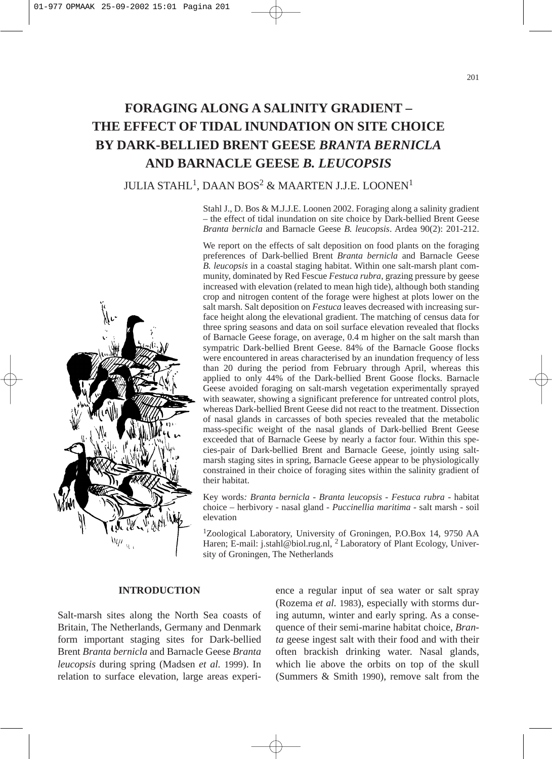# **FORAGING ALONG A SALINITY GRADIENT – THE EFFECT OF TIDAL INUNDATION ON SITE CHOICE BY DARK-BELLIED BRENT GEESE** *BRANTA BERNICLA* **AND BARNACLE GEESE** *B. LEUCOPSIS*

# JULIA STAHL<sup>1</sup>, DAAN BOS<sup>2</sup> & MAARTEN J.J.E. LOONEN<sup>1</sup>

Stahl J., D. Bos & M.J.J.E. Loonen 2002. Foraging along a salinity gradient – the effect of tidal inundation on site choice by Dark-bellied Brent Geese *Branta bernicla* and Barnacle Geese *B. leucopsis*. Ardea 90(2): 201-212.

We report on the effects of salt deposition on food plants on the foraging preferences of Dark-bellied Brent *Branta bernicla* and Barnacle Geese *B. leucopsis* in a coastal staging habitat. Within one salt-marsh plant community, dominated by Red Fescue *Festuca rubra*, grazing pressure by geese increased with elevation (related to mean high tide), although both standing crop and nitrogen content of the forage were highest at plots lower on the salt marsh. Salt deposition on *Festuca* leaves decreased with increasing surface height along the elevational gradient. The matching of census data for three spring seasons and data on soil surface elevation revealed that flocks of Barnacle Geese forage, on average, 0.4 m higher on the salt marsh than sympatric Dark-bellied Brent Geese. 84% of the Barnacle Goose flocks were encountered in areas characterised by an inundation frequency of less than 20 during the period from February through April, whereas this applied to only 44% of the Dark-bellied Brent Goose flocks. Barnacle Geese avoided foraging on salt-marsh vegetation experimentally sprayed with seawater, showing a significant preference for untreated control plots, whereas Dark-bellied Brent Geese did not react to the treatment. Dissection of nasal glands in carcasses of both species revealed that the metabolic mass-specific weight of the nasal glands of Dark-bellied Brent Geese exceeded that of Barnacle Geese by nearly a factor four. Within this species-pair of Dark-bellied Brent and Barnacle Geese, jointly using saltmarsh staging sites in spring, Barnacle Geese appear to be physiologically constrained in their choice of foraging sites within the salinity gradient of their habitat.

Key words*: Branta bernicla* - *Branta leucopsis* - *Festuca rubra* - habitat choice – herbivory - nasal gland - *Puccinellia maritima* - salt marsh - soil elevation

1Zoological Laboratory, University of Groningen, P.O.Box 14, 9750 AA Haren; E-mail: j.stahl@biol.rug.nl, <sup>2</sup> Laboratory of Plant Ecology, University of Groningen, The Netherlands

# **INTRODUCTION**

Salt-marsh sites along the North Sea coasts of Britain, The Netherlands, Germany and Denmark form important staging sites for Dark-bellied Brent *Branta bernicla* and Barnacle Geese *Branta leucopsis* during spring (Madsen *et al.* 1999). In relation to surface elevation, large areas experience a regular input of sea water or salt spray (Rozema *et al.* 1983), especially with storms during autumn, winter and early spring. As a consequence of their semi-marine habitat choice, *Branta* geese ingest salt with their food and with their often brackish drinking water. Nasal glands, which lie above the orbits on top of the skull (Summers & Smith 1990), remove salt from the

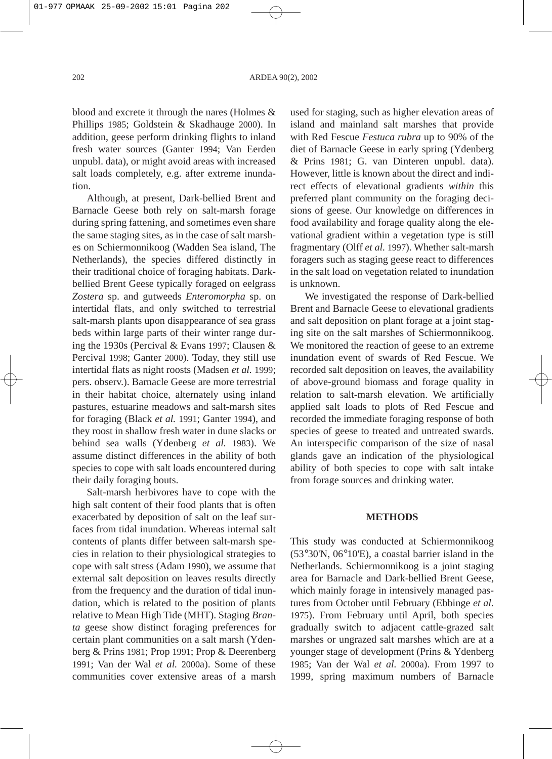blood and excrete it through the nares (Holmes & Phillips 1985; Goldstein & Skadhauge 2000). In addition, geese perform drinking flights to inland fresh water sources (Ganter 1994; Van Eerden unpubl. data), or might avoid areas with increased salt loads completely, e.g. after extreme inundation.

Although, at present, Dark-bellied Brent and Barnacle Geese both rely on salt-marsh forage during spring fattening, and sometimes even share the same staging sites, as in the case of salt marshes on Schiermonnikoog (Wadden Sea island, The Netherlands), the species differed distinctly in their traditional choice of foraging habitats. Darkbellied Brent Geese typically foraged on eelgrass *Zostera* sp. and gutweeds *Enteromorpha* sp. on intertidal flats, and only switched to terrestrial salt-marsh plants upon disappearance of sea grass beds within large parts of their winter range during the 1930s (Percival & Evans 1997; Clausen & Percival 1998; Ganter 2000). Today, they still use intertidal flats as night roosts (Madsen *et al.* 1999; pers. observ.). Barnacle Geese are more terrestrial in their habitat choice, alternately using inland pastures, estuarine meadows and salt-marsh sites for foraging (Black *et al.* 1991; Ganter 1994), and they roost in shallow fresh water in dune slacks or behind sea walls (Ydenberg *et al.* 1983). We assume distinct differences in the ability of both species to cope with salt loads encountered during their daily foraging bouts.

Salt-marsh herbivores have to cope with the high salt content of their food plants that is often exacerbated by deposition of salt on the leaf surfaces from tidal inundation. Whereas internal salt contents of plants differ between salt-marsh species in relation to their physiological strategies to cope with salt stress (Adam 1990), we assume that external salt deposition on leaves results directly from the frequency and the duration of tidal inundation, which is related to the position of plants relative to Mean High Tide (MHT). Staging *Branta* geese show distinct foraging preferences for certain plant communities on a salt marsh (Ydenberg & Prins 1981; Prop 1991; Prop & Deerenberg 1991; Van der Wal *et al.* 2000a). Some of these communities cover extensive areas of a marsh used for staging, such as higher elevation areas of island and mainland salt marshes that provide with Red Fescue *Festuca rubra* up to 90% of the diet of Barnacle Geese in early spring (Ydenberg & Prins 1981; G. van Dinteren unpubl. data). However, little is known about the direct and indirect effects of elevational gradients *within* this preferred plant community on the foraging decisions of geese. Our knowledge on differences in food availability and forage quality along the elevational gradient within a vegetation type is still fragmentary (Olff *et al.* 1997). Whether salt-marsh foragers such as staging geese react to differences in the salt load on vegetation related to inundation is unknown.

We investigated the response of Dark-bellied Brent and Barnacle Geese to elevational gradients and salt deposition on plant forage at a joint staging site on the salt marshes of Schiermonnikoog. We monitored the reaction of geese to an extreme inundation event of swards of Red Fescue. We recorded salt deposition on leaves, the availability of above-ground biomass and forage quality in relation to salt-marsh elevation. We artificially applied salt loads to plots of Red Fescue and recorded the immediate foraging response of both species of geese to treated and untreated swards. An interspecific comparison of the size of nasal glands gave an indication of the physiological ability of both species to cope with salt intake from forage sources and drinking water.

#### **METHODS**

This study was conducted at Schiermonnikoog (53°30'N, 06°10'E), a coastal barrier island in the Netherlands. Schiermonnikoog is a joint staging area for Barnacle and Dark-bellied Brent Geese, which mainly forage in intensively managed pastures from October until February (Ebbinge *et al.* 1975). From February until April, both species gradually switch to adjacent cattle-grazed salt marshes or ungrazed salt marshes which are at a younger stage of development (Prins & Ydenberg 1985; Van der Wal *et al.* 2000a). From 1997 to 1999, spring maximum numbers of Barnacle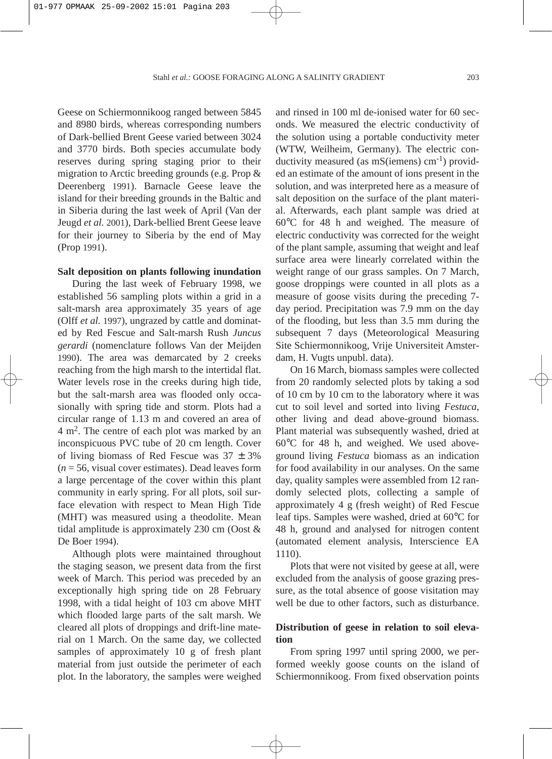Geese on Schiermonnikoog ranged between 5845 and 8980 birds, whereas corresponding numbers of Dark-bellied Brent Geese varied between 3024 and 3770 birds. Both species accumulate body reserves during spring staging prior to their migration to Arctic breeding grounds (e.g. Prop & Deerenberg 1991). Barnacle Geese leave the island for their breeding grounds in the Baltic and in Siberia during the last week of April (Van der Jeugd *et al.* 2001), Dark-bellied Brent Geese leave for their journey to Siberia by the end of May (Prop 1991).

#### **Salt deposition on plants following inundation**

During the last week of February 1998, we established 56 sampling plots within a grid in a salt-marsh area approximately 35 years of age (Olff *et al.* 1997), ungrazed by cattle and dominated by Red Fescue and Salt-marsh Rush *Juncus gerardi* (nomenclature follows Van der Meijden 1990). The area was demarcated by 2 creeks reaching from the high marsh to the intertidal flat. Water levels rose in the creeks during high tide, but the salt-marsh area was flooded only occasionally with spring tide and storm. Plots had a circular range of 1.13 m and covered an area of 4 m2. The centre of each plot was marked by an inconspicuous PVC tube of 20 cm length. Cover of living biomass of Red Fescue was  $37 \pm 3\%$  $(n = 56$ , visual cover estimates). Dead leaves form a large percentage of the cover within this plant community in early spring. For all plots, soil surface elevation with respect to Mean High Tide (MHT) was measured using a theodolite. Mean tidal amplitude is approximately 230 cm (Oost & De Boer 1994).

Although plots were maintained throughout the staging season, we present data from the first week of March. This period was preceded by an exceptionally high spring tide on 28 February 1998, with a tidal height of 103 cm above MHT which flooded large parts of the salt marsh. We cleared all plots of droppings and drift-line material on 1 March. On the same day, we collected samples of approximately 10 g of fresh plant material from just outside the perimeter of each plot. In the laboratory, the samples were weighed and rinsed in 100 ml de-ionised water for 60 seconds. We measured the electric conductivity of the solution using a portable conductivity meter (WTW, Weilheim, Germany). The electric conductivity measured (as  $mS$ (iemens) cm<sup>-1</sup>) provided an estimate of the amount of ions present in the solution, and was interpreted here as a measure of salt deposition on the surface of the plant material. Afterwards, each plant sample was dried at 60°C for 48 h and weighed. The measure of electric conductivity was corrected for the weight of the plant sample, assuming that weight and leaf surface area were linearly correlated within the weight range of our grass samples. On 7 March, goose droppings were counted in all plots as a measure of goose visits during the preceding 7 day period. Precipitation was 7.9 mm on the day of the flooding, but less than 3.5 mm during the subsequent 7 days (Meteorological Measuring Site Schiermonnikoog, Vrije Universiteit Amsterdam, H. Vugts unpubl. data).

On 16 March, biomass samples were collected from 20 randomly selected plots by taking a sod of 10 cm by 10 cm to the laboratory where it was cut to soil level and sorted into living *Festuca*, other living and dead above-ground biomass. Plant material was subsequently washed, dried at 60°C for 48 h, and weighed. We used aboveground living *Festuca* biomass as an indication for food availability in our analyses. On the same day, quality samples were assembled from 12 randomly selected plots, collecting a sample of approximately 4 g (fresh weight) of Red Fescue leaf tips. Samples were washed, dried at 60°C for 48 h, ground and analysed for nitrogen content (automated element analysis, Interscience EA 1110).

Plots that were not visited by geese at all, were excluded from the analysis of goose grazing pressure, as the total absence of goose visitation may well be due to other factors, such as disturbance.

# **Distribution of geese in relation to soil elevation**

From spring 1997 until spring 2000, we performed weekly goose counts on the island of Schiermonnikoog. From fixed observation points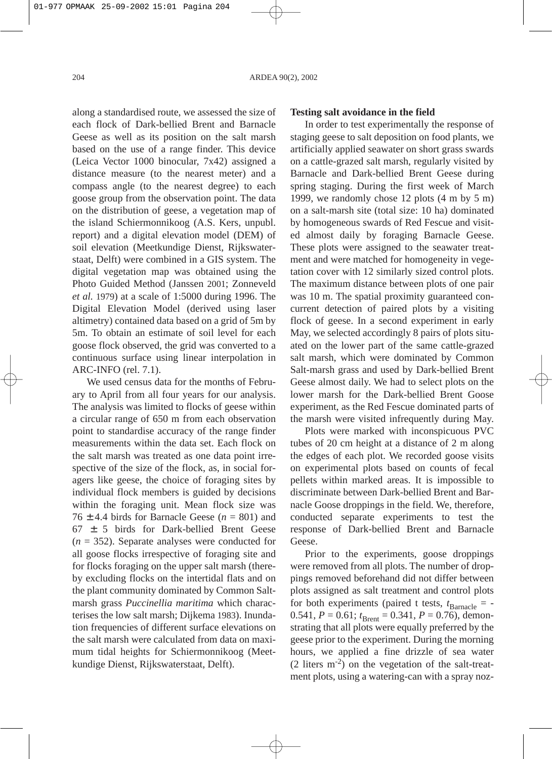along a standardised route, we assessed the size of each flock of Dark-bellied Brent and Barnacle Geese as well as its position on the salt marsh based on the use of a range finder. This device (Leica Vector 1000 binocular, 7x42) assigned a distance measure (to the nearest meter) and a compass angle (to the nearest degree) to each goose group from the observation point. The data on the distribution of geese, a vegetation map of the island Schiermonnikoog (A.S. Kers, unpubl. report) and a digital elevation model (DEM) of soil elevation (Meetkundige Dienst, Rijkswaterstaat, Delft) were combined in a GIS system. The digital vegetation map was obtained using the Photo Guided Method (Janssen 2001; Zonneveld *et al.* 1979) at a scale of 1:5000 during 1996. The Digital Elevation Model (derived using laser altimetry) contained data based on a grid of 5m by 5m. To obtain an estimate of soil level for each goose flock observed, the grid was converted to a continuous surface using linear interpolation in ARC-INFO (rel. 7.1).

We used census data for the months of February to April from all four years for our analysis. The analysis was limited to flocks of geese within a circular range of 650 m from each observation point to standardise accuracy of the range finder measurements within the data set. Each flock on the salt marsh was treated as one data point irrespective of the size of the flock, as, in social foragers like geese, the choice of foraging sites by individual flock members is guided by decisions within the foraging unit. Mean flock size was  $76 + 4.4$  birds for Barnacle Geese  $(n = 801)$  and 67 ± 5 birds for Dark-bellied Brent Geese  $(n = 352)$ . Separate analyses were conducted for all goose flocks irrespective of foraging site and for flocks foraging on the upper salt marsh (thereby excluding flocks on the intertidal flats and on the plant community dominated by Common Saltmarsh grass *Puccinellia maritima* which characterises the low salt marsh; Dijkema 1983). Inundation frequencies of different surface elevations on the salt marsh were calculated from data on maximum tidal heights for Schiermonnikoog (Meetkundige Dienst, Rijkswaterstaat, Delft).

### **Testing salt avoidance in the field**

In order to test experimentally the response of staging geese to salt deposition on food plants, we artificially applied seawater on short grass swards on a cattle-grazed salt marsh, regularly visited by Barnacle and Dark-bellied Brent Geese during spring staging. During the first week of March 1999, we randomly chose 12 plots (4 m by 5 m) on a salt-marsh site (total size: 10 ha) dominated by homogeneous swards of Red Fescue and visited almost daily by foraging Barnacle Geese. These plots were assigned to the seawater treatment and were matched for homogeneity in vegetation cover with 12 similarly sized control plots. The maximum distance between plots of one pair was 10 m. The spatial proximity guaranteed concurrent detection of paired plots by a visiting flock of geese. In a second experiment in early May, we selected accordingly 8 pairs of plots situated on the lower part of the same cattle-grazed salt marsh, which were dominated by Common Salt-marsh grass and used by Dark-bellied Brent Geese almost daily. We had to select plots on the lower marsh for the Dark-bellied Brent Goose experiment, as the Red Fescue dominated parts of the marsh were visited infrequently during May.

Plots were marked with inconspicuous PVC tubes of 20 cm height at a distance of 2 m along the edges of each plot. We recorded goose visits on experimental plots based on counts of fecal pellets within marked areas. It is impossible to discriminate between Dark-bellied Brent and Barnacle Goose droppings in the field. We, therefore, conducted separate experiments to test the response of Dark-bellied Brent and Barnacle Geese.

Prior to the experiments, goose droppings were removed from all plots. The number of droppings removed beforehand did not differ between plots assigned as salt treatment and control plots for both experiments (paired t tests,  $t_{\text{Barnacle}} = -$ 0.541,  $P = 0.61$ ;  $t_{\text{Brent}} = 0.341$ ,  $P = 0.76$ ), demonstrating that all plots were equally preferred by the geese prior to the experiment. During the morning hours, we applied a fine drizzle of sea water  $(2 \text{ liters } m^{-2})$  on the vegetation of the salt-treatment plots, using a watering-can with a spray noz-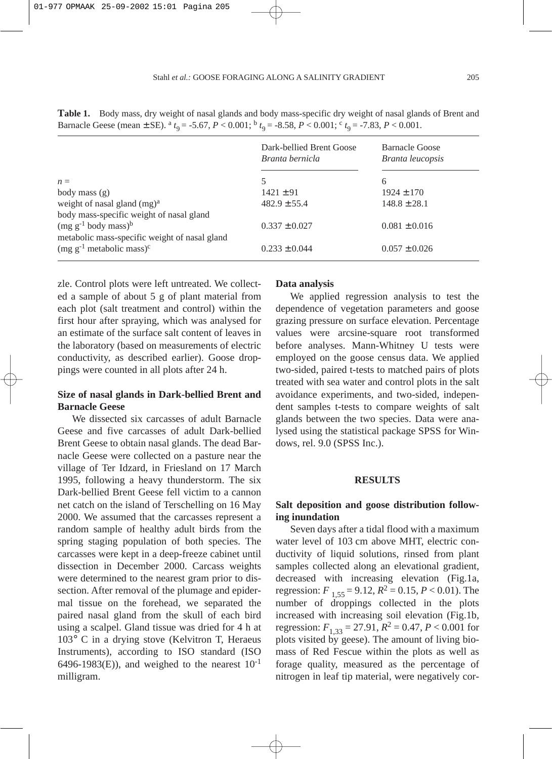|                                                                                             | Dark-bellied Brent Goose<br>Branta bernicla | <b>Barnacle Goose</b><br>Branta leucopsis |  |
|---------------------------------------------------------------------------------------------|---------------------------------------------|-------------------------------------------|--|
| $n =$                                                                                       | 5                                           | 6                                         |  |
| body mass $(g)$                                                                             | $1421 \pm 91$                               | $1924 \pm 170$                            |  |
| weight of nasal gland $(mg)^a$                                                              | $482.9 \pm 55.4$                            | $148.8 \pm 28.1$                          |  |
| body mass-specific weight of nasal gland                                                    |                                             |                                           |  |
| $(mg g^{-1}$ body mass) <sup>b</sup>                                                        | $0.337 \pm 0.027$                           | $0.081 \pm 0.016$                         |  |
| metabolic mass-specific weight of nasal gland<br>$(mg g^{-1})$ metabolic mass) <sup>c</sup> | $0.233 \pm 0.044$                           | $0.057 \pm 0.026$                         |  |
|                                                                                             |                                             |                                           |  |

**Table 1.** Body mass, dry weight of nasal glands and body mass-specific dry weight of nasal glands of Brent and Barnacle Geese (mean  $\pm$  SE). <sup>a</sup> *t*<sub>9</sub> = -5.67, *P* < 0.001; <sup>b</sup> *t*<sub>9</sub> = -8.58, *P* < 0.001; <sup>c</sup> *t*<sub>9</sub> = -7.83, *P* < 0.001.

zle. Control plots were left untreated. We collected a sample of about 5 g of plant material from each plot (salt treatment and control) within the first hour after spraying, which was analysed for an estimate of the surface salt content of leaves in the laboratory (based on measurements of electric conductivity, as described earlier). Goose droppings were counted in all plots after 24 h.

# **Size of nasal glands in Dark-bellied Brent and Barnacle Geese**

We dissected six carcasses of adult Barnacle Geese and five carcasses of adult Dark-bellied Brent Geese to obtain nasal glands. The dead Barnacle Geese were collected on a pasture near the village of Ter Idzard, in Friesland on 17 March 1995, following a heavy thunderstorm. The six Dark-bellied Brent Geese fell victim to a cannon net catch on the island of Terschelling on 16 May 2000. We assumed that the carcasses represent a random sample of healthy adult birds from the spring staging population of both species. The carcasses were kept in a deep-freeze cabinet until dissection in December 2000. Carcass weights were determined to the nearest gram prior to dissection. After removal of the plumage and epidermal tissue on the forehead, we separated the paired nasal gland from the skull of each bird using a scalpel. Gland tissue was dried for 4 h at 103° C in a drying stove (Kelvitron T, Heraeus Instruments), according to ISO standard (ISO 6496-1983(E)), and weighed to the nearest  $10^{-1}$ milligram.

### **Data analysis**

We applied regression analysis to test the dependence of vegetation parameters and goose grazing pressure on surface elevation. Percentage values were arcsine-square root transformed before analyses. Mann-Whitney U tests were employed on the goose census data. We applied two-sided, paired t-tests to matched pairs of plots treated with sea water and control plots in the salt avoidance experiments, and two-sided, independent samples t-tests to compare weights of salt glands between the two species. Data were analysed using the statistical package SPSS for Windows, rel. 9.0 (SPSS Inc.).

#### **RESULTS**

### **Salt deposition and goose distribution following inundation**

Seven days after a tidal flood with a maximum water level of 103 cm above MHT, electric conductivity of liquid solutions, rinsed from plant samples collected along an elevational gradient, decreased with increasing elevation (Fig.1a, regression:  $F_{1.55} = 9.12$ ,  $R^2 = 0.15$ ,  $P < 0.01$ ). The number of droppings collected in the plots increased with increasing soil elevation (Fig.1b, regression:  $F_{1,33} = 27.91$ ,  $R^2 = 0.47$ ,  $P < 0.001$  for plots visited by geese). The amount of living biomass of Red Fescue within the plots as well as forage quality, measured as the percentage of nitrogen in leaf tip material, were negatively cor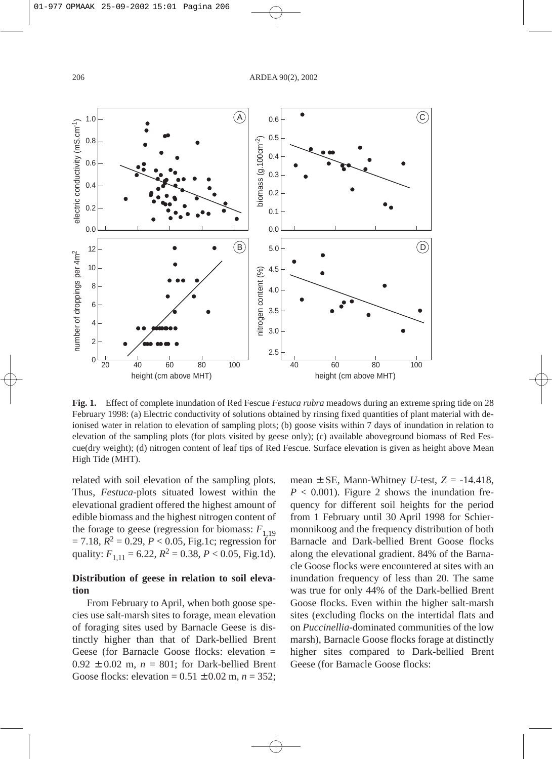0.6



A

**Fig. 1.** Effect of complete inundation of Red Fescue *Festuca rubra* meadows during an extreme spring tide on 28 February 1998: (a) Electric conductivity of solutions obtained by rinsing fixed quantities of plant material with deionised water in relation to elevation of sampling plots; (b) goose visits within 7 days of inundation in relation to elevation of the sampling plots (for plots visited by geese only); (c) available aboveground biomass of Red Fescue(dry weight); (d) nitrogen content of leaf tips of Red Fescue. Surface elevation is given as height above Mean High Tide (MHT).

related with soil elevation of the sampling plots. Thus, *Festuca*-plots situated lowest within the elevational gradient offered the highest amount of edible biomass and the highest nitrogen content of the forage to geese (regression for biomass:  $F_{1,19}$ )  $= 7.18, R^2 = 0.29, P < 0.05,$  Fig.1c; regression for quality:  $F_{1,11} = 6.22$ ,  $R^2 = 0.38$ ,  $P < 0.05$ , Fig.1d).

# **Distribution of geese in relation to soil elevation**

From February to April, when both goose species use salt-marsh sites to forage, mean elevation of foraging sites used by Barnacle Geese is distinctly higher than that of Dark-bellied Brent Geese (for Barnacle Goose flocks: elevation =  $0.92 \pm 0.02$  m,  $n = 801$ ; for Dark-bellied Brent Goose flocks: elevation =  $0.51 \pm 0.02$  m,  $n = 352$ ; mean  $\pm$  SE, Mann-Whitney *U*-test,  $Z = -14.418$ ,  $P < 0.001$ ). Figure 2 shows the inundation frequency for different soil heights for the period from 1 February until 30 April 1998 for Schiermonnikoog and the frequency distribution of both Barnacle and Dark-bellied Brent Goose flocks along the elevational gradient. 84% of the Barnacle Goose flocks were encountered at sites with an inundation frequency of less than 20. The same was true for only 44% of the Dark-bellied Brent Goose flocks. Even within the higher salt-marsh sites (excluding flocks on the intertidal flats and on *Puccinellia*-dominated communities of the low marsh), Barnacle Goose flocks forage at distinctly higher sites compared to Dark-bellied Brent Geese (for Barnacle Goose flocks:

 $\left( \widehat{\mathbf{C}}\right)$ 

1.0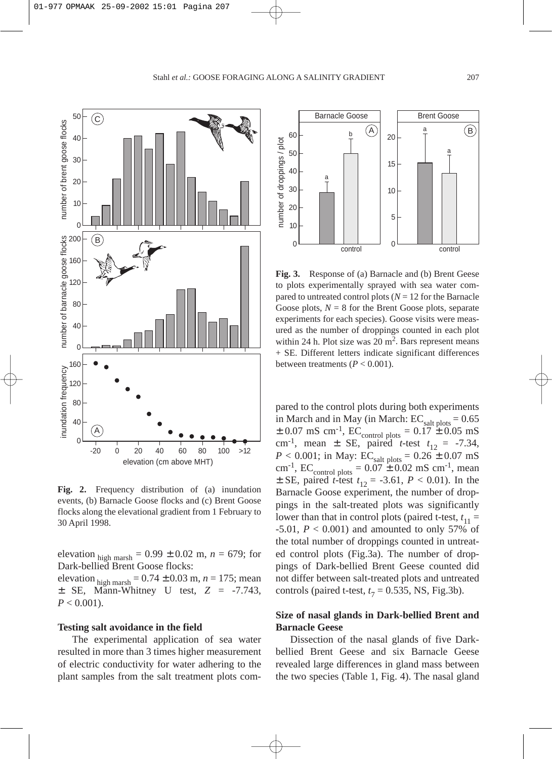

**Fig. 2.** Frequency distribution of (a) inundation events, (b) Barnacle Goose flocks and (c) Brent Goose flocks along the elevational gradient from 1 February to 30 April 1998.

elevation  $_{\text{high} \text{ marksh}} = 0.99 \pm 0.02 \text{ m}, n = 679$ ; for Dark-bellied Brent Goose flocks: elevation <sub>high marsh</sub> =  $0.74 \pm 0.03$  m,  $n = 175$ ; mean ± SE, Mann-Whitney U test, *Z* = -7.743,  $P < 0.001$ ).

#### **Testing salt avoidance in the field**

The experimental application of sea water resulted in more than 3 times higher measurement of electric conductivity for water adhering to the plant samples from the salt treatment plots com-



Fig. 3. Response of (a) Barnacle and (b) Brent Geese to plots experimentally sprayed with sea water compared to untreated control plots  $(N = 12$  for the Barnacle Goose plots,  $N = 8$  for the Brent Goose plots, separate experiments for each species). Goose visits were measured as the number of droppings counted in each plot within 24 h. Plot size was  $20 \text{ m}^2$ . Bars represent means + SE. Different letters indicate significant differences between treatments  $(P < 0.001)$ .

pared to the control plots during both experiments in March and in May (in March:  $EC_{salt\, plots} = 0.65$  $\pm$  0.07 mS cm<sup>-1</sup>, EC<sub>control plots</sub> =  $0.17 \pm 0.05$  mS cm<sup>-1</sup>, mean  $\pm$  SE, paired *t*-test  $t_{12} = -7.34$ ,  $P < 0.001$ ; in May: EC<sub>salt plots</sub> =  $0.26 \pm 0.07$  mS cm<sup>-1</sup>, EC<sub>control plots</sub> =  $0.07 \pm 0.02$  mS cm<sup>-1</sup>, mean  $\pm$  SE, paired *t*-test  $t_{12} = -3.61, P < 0.01$ ). In the Barnacle Goose experiment, the number of droppings in the salt-treated plots was significantly lower than that in control plots (paired t-test,  $t_{11}$  =  $-5.01, P < 0.001$ ) and amounted to only 57% of the total number of droppings counted in untreated control plots (Fig.3a). The number of droppings of Dark-bellied Brent Geese counted did not differ between salt-treated plots and untreated controls (paired t-test,  $t_7 = 0.535$ , NS, Fig.3b).

# **Size of nasal glands in Dark-bellied Brent and Barnacle Geese**

Dissection of the nasal glands of five Darkbellied Brent Geese and six Barnacle Geese revealed large differences in gland mass between the two species (Table 1, Fig. 4). The nasal gland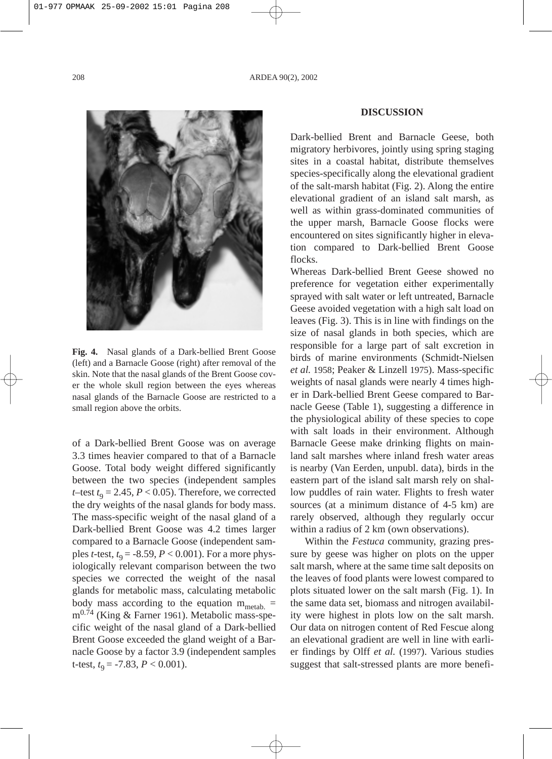

**Fig. 4.** Nasal glands of a Dark-bellied Brent Goose (left) and a Barnacle Goose (right) after removal of the skin. Note that the nasal glands of the Brent Goose cover the whole skull region between the eyes whereas nasal glands of the Barnacle Goose are restricted to a small region above the orbits.

of a Dark-bellied Brent Goose was on average 3.3 times heavier compared to that of a Barnacle Goose. Total body weight differed significantly between the two species (independent samples *t*–test  $t_9 = 2.45, P < 0.05$ ). Therefore, we corrected the dry weights of the nasal glands for body mass. The mass-specific weight of the nasal gland of a Dark-bellied Brent Goose was 4.2 times larger compared to a Barnacle Goose (independent samples *t*-test, *t* 9 = -8.59, *P* < 0.001). For a more physiologically relevant comparison between the two species we corrected the weight of the nasal glands for metabolic mass, calculating metabolic body mass according to the equation  $m_{\text{metal}}$ . m<sup>0.74</sup> (King & Farner 1961). Metabolic mass-specific weight of the nasal gland of a Dark-bellied Brent Goose exceeded the gland weight of a Barnacle Goose by a factor 3.9 (independent samples t-test,  $t_9 = -7.83$ ,  $P < 0.001$ ).

#### **DISCUSSION**

Dark-bellied Brent and Barnacle Geese, both migratory herbivores, jointly using spring staging sites in a coastal habitat, distribute themselves species-specifically along the elevational gradient of the salt-marsh habitat (Fig. 2). Along the entire elevational gradient of an island salt marsh, as well as within grass-dominated communities of the upper marsh, Barnacle Goose flocks were encountered on sites significantly higher in elevation compared to Dark-bellied Brent Goose flocks.

Whereas Dark-bellied Brent Geese showed no preference for vegetation either experimentally sprayed with salt water or left untreated, Barnacle Geese avoided vegetation with a high salt load on leaves (Fig. 3). This is in line with findings on the size of nasal glands in both species, which are responsible for a large part of salt excretion in birds of marine environments (Schmidt-Nielsen *et al.* 1958; Peaker & Linzell 1975). Mass-specific weights of nasal glands were nearly 4 times higher in Dark-bellied Brent Geese compared to Barnacle Geese (Table 1), suggesting a difference in the physiological ability of these species to cope with salt loads in their environment. Although Barnacle Geese make drinking flights on mainland salt marshes where inland fresh water areas is nearby (Van Eerden, unpubl. data), birds in the eastern part of the island salt marsh rely on shallow puddles of rain water. Flights to fresh water sources (at a minimum distance of 4-5 km) are rarely observed, although they regularly occur within a radius of 2 km (own observations).

Within the *Festuca* community, grazing pressure by geese was higher on plots on the upper salt marsh, where at the same time salt deposits on the leaves of food plants were lowest compared to plots situated lower on the salt marsh (Fig. 1). In the same data set, biomass and nitrogen availability were highest in plots low on the salt marsh. Our data on nitrogen content of Red Fescue along an elevational gradient are well in line with earlier findings by Olff *et al.* (1997). Various studies suggest that salt-stressed plants are more benefi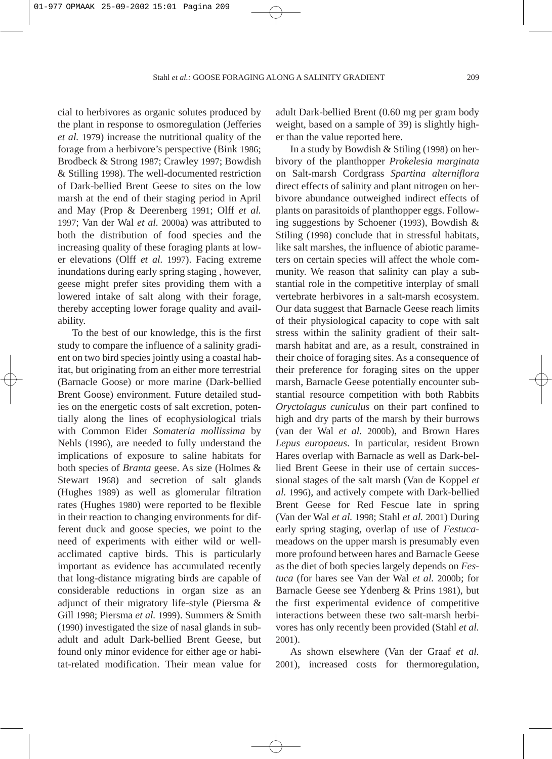cial to herbivores as organic solutes produced by the plant in response to osmoregulation (Jefferies *et al.* 1979) increase the nutritional quality of the forage from a herbivore's perspective (Bink 1986; Brodbeck & Strong 1987; Crawley 1997; Bowdish & Stilling 1998). The well-documented restriction of Dark-bellied Brent Geese to sites on the low marsh at the end of their staging period in April and May (Prop & Deerenberg 1991; Olff *et al.* 1997; Van der Wal *et al.* 2000a) was attributed to both the distribution of food species and the increasing quality of these foraging plants at lower elevations (Olff *et al.* 1997). Facing extreme inundations during early spring staging , however, geese might prefer sites providing them with a lowered intake of salt along with their forage, thereby accepting lower forage quality and availability.

To the best of our knowledge, this is the first study to compare the influence of a salinity gradient on two bird species jointly using a coastal habitat, but originating from an either more terrestrial (Barnacle Goose) or more marine (Dark-bellied Brent Goose) environment. Future detailed studies on the energetic costs of salt excretion, potentially along the lines of ecophysiological trials with Common Eider *Somateria mollissima* by Nehls (1996)*,* are needed to fully understand the implications of exposure to saline habitats for both species of *Branta* geese. As size (Holmes & Stewart 1968) and secretion of salt glands (Hughes 1989) as well as glomerular filtration rates (Hughes 1980) were reported to be flexible in their reaction to changing environments for different duck and goose species, we point to the need of experiments with either wild or wellacclimated captive birds. This is particularly important as evidence has accumulated recently that long-distance migrating birds are capable of considerable reductions in organ size as an adjunct of their migratory life-style (Piersma & Gill 1998; Piersma *et al.* 1999). Summers & Smith (1990) investigated the size of nasal glands in subadult and adult Dark-bellied Brent Geese, but found only minor evidence for either age or habitat-related modification. Their mean value for adult Dark-bellied Brent (0.60 mg per gram body weight, based on a sample of 39) is slightly higher than the value reported here.

In a study by Bowdish & Stiling (1998) on herbivory of the planthopper *Prokelesia marginata* on Salt-marsh Cordgrass *Spartina alterniflora* direct effects of salinity and plant nitrogen on herbivore abundance outweighed indirect effects of plants on parasitoids of planthopper eggs. Following suggestions by Schoener (1993), Bowdish & Stiling (1998) conclude that in stressful habitats, like salt marshes, the influence of abiotic parameters on certain species will affect the whole community. We reason that salinity can play a substantial role in the competitive interplay of small vertebrate herbivores in a salt-marsh ecosystem. Our data suggest that Barnacle Geese reach limits of their physiological capacity to cope with salt stress within the salinity gradient of their saltmarsh habitat and are, as a result, constrained in their choice of foraging sites. As a consequence of their preference for foraging sites on the upper marsh, Barnacle Geese potentially encounter substantial resource competition with both Rabbits *Oryctolagus cuniculus* on their part confined to high and dry parts of the marsh by their burrows (van der Wal *et al.* 2000b), and Brown Hares *Lepus europaeus*. In particular, resident Brown Hares overlap with Barnacle as well as Dark-bellied Brent Geese in their use of certain successional stages of the salt marsh (Van de Koppel *et al.* 1996), and actively compete with Dark-bellied Brent Geese for Red Fescue late in spring (Van der Wal *et al.* 1998; Stahl *et al.* 2001) During early spring staging, overlap of use of *Festuca*meadows on the upper marsh is presumably even more profound between hares and Barnacle Geese as the diet of both species largely depends on *Festuca* (for hares see Van der Wal *et al.* 2000b; for Barnacle Geese see Ydenberg & Prins 1981), but the first experimental evidence of competitive interactions between these two salt-marsh herbivores has only recently been provided (Stahl *et al.* 2001).

As shown elsewhere (Van der Graaf *et al.* 2001), increased costs for thermoregulation,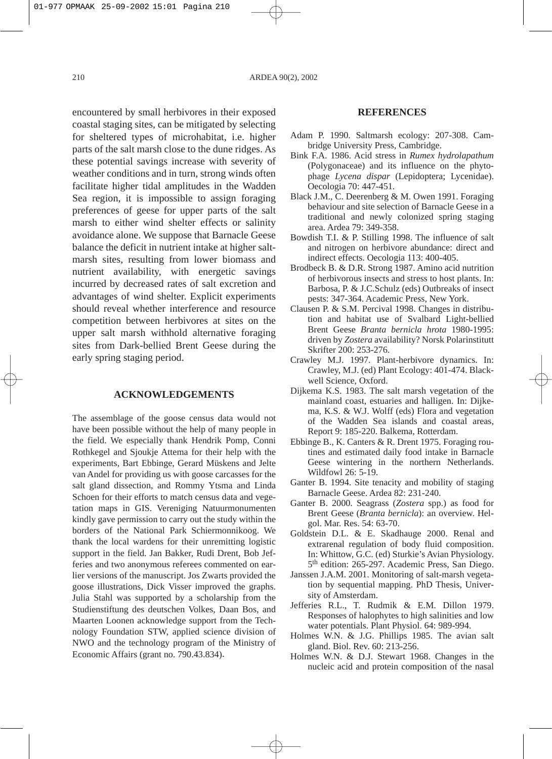encountered by small herbivores in their exposed coastal staging sites, can be mitigated by selecting for sheltered types of microhabitat, i.e. higher parts of the salt marsh close to the dune ridges. As these potential savings increase with severity of weather conditions and in turn, strong winds often facilitate higher tidal amplitudes in the Wadden Sea region, it is impossible to assign foraging preferences of geese for upper parts of the salt marsh to either wind shelter effects or salinity avoidance alone. We suppose that Barnacle Geese balance the deficit in nutrient intake at higher saltmarsh sites, resulting from lower biomass and nutrient availability, with energetic savings incurred by decreased rates of salt excretion and advantages of wind shelter. Explicit experiments should reveal whether interference and resource competition between herbivores at sites on the upper salt marsh withhold alternative foraging sites from Dark-bellied Brent Geese during the early spring staging period.

#### **ACKNOWLEDGEMENTS**

The assemblage of the goose census data would not have been possible without the help of many people in the field. We especially thank Hendrik Pomp, Conni Rothkegel and Sjoukje Attema for their help with the experiments, Bart Ebbinge, Gerard Müskens and Jelte van Andel for providing us with goose carcasses for the salt gland dissection, and Rommy Ytsma and Linda Schoen for their efforts to match census data and vegetation maps in GIS. Vereniging Natuurmonumenten kindly gave permission to carry out the study within the borders of the National Park Schiermonnikoog. We thank the local wardens for their unremitting logistic support in the field. Jan Bakker, Rudi Drent, Bob Jefferies and two anonymous referees commented on earlier versions of the manuscript. Jos Zwarts provided the goose illustrations, Dick Visser improved the graphs. Julia Stahl was supported by a scholarship from the Studienstiftung des deutschen Volkes, Daan Bos, and Maarten Loonen acknowledge support from the Technology Foundation STW, applied science division of NWO and the technology program of the Ministry of Economic Affairs (grant no. 790.43.834).

#### **REFERENCES**

- Adam P. 1990. Saltmarsh ecology: 207-308. Cambridge University Press, Cambridge.
- Bink F.A. 1986. Acid stress in *Rumex hydrolapathum* (Polygonaceae) and its influence on the phytophage *Lycena dispar* (Lepidoptera; Lycenidae). Oecologia 70: 447-451.
- Black J.M., C. Deerenberg & M. Owen 1991. Foraging behaviour and site selection of Barnacle Geese in a traditional and newly colonized spring staging area. Ardea 79: 349-358.
- Bowdish T.I. & P. Stilling 1998. The influence of salt and nitrogen on herbivore abundance: direct and indirect effects. Oecologia 113: 400-405.
- Brodbeck B. & D.R. Strong 1987. Amino acid nutrition of herbivorous insects and stress to host plants. In: Barbosa, P. & J.C.Schulz (eds) Outbreaks of insect pests: 347-364. Academic Press, New York.
- Clausen P. & S.M. Percival 1998. Changes in distribution and habitat use of Svalbard Light-bellied Brent Geese *Branta bernicla hrota* 1980-1995: driven by *Zostera* availability? Norsk Polarinstitutt Skrifter 200: 253-276.
- Crawley M.J. 1997. Plant-herbivore dynamics. In: Crawley, M.J. (ed) Plant Ecology: 401-474. Blackwell Science, Oxford.
- Dijkema K.S. 1983. The salt marsh vegetation of the mainland coast, estuaries and halligen. In: Dijkema, K.S. & W.J. Wolff (eds) Flora and vegetation of the Wadden Sea islands and coastal areas, Report 9: 185-220. Balkema, Rotterdam.
- Ebbinge B., K. Canters & R. Drent 1975. Foraging routines and estimated daily food intake in Barnacle Geese wintering in the northern Netherlands. Wildfowl 26: 5-19.
- Ganter B. 1994. Site tenacity and mobility of staging Barnacle Geese. Ardea 82: 231-240.
- Ganter B. 2000. Seagrass (*Zostera* spp.) as food for Brent Geese (*Branta bernicla*): an overview. Helgol. Mar. Res. 54: 63-70.
- Goldstein D.L. & E. Skadhauge 2000. Renal and extrarenal regulation of body fluid composition. In: Whittow, G.C. (ed) Sturkie's Avian Physiology. 5th edition: 265-297. Academic Press, San Diego.
- Janssen J.A.M. 2001. Monitoring of salt-marsh vegetation by sequential mapping. PhD Thesis, University of Amsterdam.
- Jefferies R.L., T. Rudmik & E.M. Dillon 1979. Responses of halophytes to high salinities and low water potentials. Plant Physiol. 64: 989-994.
- Holmes W.N. & J.G. Phillips 1985. The avian salt gland. Biol. Rev. 60: 213-256.
- Holmes W.N. & D.J. Stewart 1968. Changes in the nucleic acid and protein composition of the nasal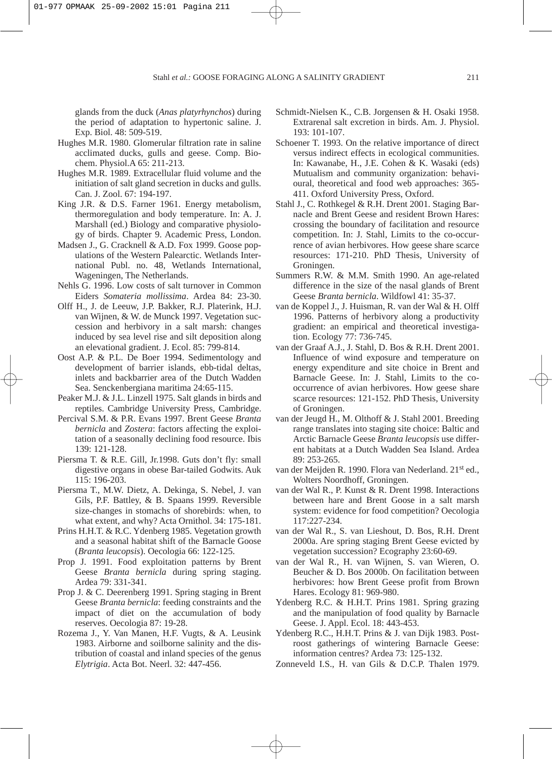glands from the duck (*Anas platyrhynchos*) during the period of adaptation to hypertonic saline. J. Exp. Biol. 48: 509-519.

- Hughes M.R. 1980. Glomerular filtration rate in saline acclimated ducks, gulls and geese. Comp. Biochem. Physiol.A 65: 211-213.
- Hughes M.R. 1989. Extracellular fluid volume and the initiation of salt gland secretion in ducks and gulls. Can. J. Zool. 67: 194-197.
- King J.R. & D.S. Farner 1961. Energy metabolism, thermoregulation and body temperature. In: A. J. Marshall (ed.) Biology and comparative physiology of birds. Chapter 9. Academic Press, London.
- Madsen J., G. Cracknell & A.D. Fox 1999. Goose populations of the Western Palearctic. Wetlands International Publ. no. 48, Wetlands International, Wageningen, The Netherlands.
- Nehls G. 1996. Low costs of salt turnover in Common Eiders *Somateria mollissima*. Ardea 84: 23-30.
- Olff H., J. de Leeuw, J.P. Bakker, R.J. Platerink, H.J. van Wijnen, & W. de Munck 1997. Vegetation succession and herbivory in a salt marsh: changes induced by sea level rise and silt deposition along an elevational gradient. J. Ecol. 85: 799-814.
- Oost A.P. & P.L. De Boer 1994. Sedimentology and development of barrier islands, ebb-tidal deltas, inlets and backbarrier area of the Dutch Wadden Sea. Senckenbergiana maritima 24:65-115.
- Peaker M.J. & J.L. Linzell 1975. Salt glands in birds and reptiles. Cambridge University Press, Cambridge.
- Percival S.M. & P.R. Evans 1997. Brent Geese *Branta bernicla* and *Zostera*: factors affecting the exploitation of a seasonally declining food resource. Ibis 139: 121-128.
- Piersma T. & R.E. Gill, Jr.1998. Guts don't fly: small digestive organs in obese Bar-tailed Godwits. Auk 115: 196-203.
- Piersma T., M.W. Dietz, A. Dekinga, S. Nebel, J. van Gils, P.F. Battley, & B. Spaans 1999. Reversible size-changes in stomachs of shorebirds: when, to what extent, and why? Acta Ornithol. 34: 175-181.
- Prins H.H.T. & R.C. Ydenberg 1985. Vegetation growth and a seasonal habitat shift of the Barnacle Goose (*Branta leucopsis*). Oecologia 66: 122-125.
- Prop J. 1991. Food exploitation patterns by Brent Geese *Branta bernicla* during spring staging. Ardea 79: 331-341.
- Prop J. & C. Deerenberg 1991. Spring staging in Brent Geese *Branta bernicla*: feeding constraints and the impact of diet on the accumulation of body reserves. Oecologia 87: 19-28.
- Rozema J., Y. Van Manen, H.F. Vugts, & A. Leusink 1983. Airborne and soilborne salinity and the distribution of coastal and inland species of the genus *Elytrigia*. Acta Bot. Neerl. 32: 447-456.
- Schmidt-Nielsen K., C.B. Jorgensen & H. Osaki 1958. Extrarenal salt excretion in birds. Am. J. Physiol. 193: 101-107.
- Schoener T. 1993. On the relative importance of direct versus indirect effects in ecological communities. In: Kawanabe, H., J.E. Cohen & K. Wasaki (eds) Mutualism and community organization: behavioural, theoretical and food web approaches: 365- 411. Oxford University Press, Oxford.
- Stahl J., C. Rothkegel & R.H. Drent 2001. Staging Barnacle and Brent Geese and resident Brown Hares: crossing the boundary of facilitation and resource competition. In: J. Stahl, Limits to the co-occurrence of avian herbivores. How geese share scarce resources: 171-210. PhD Thesis, University of Groningen.
- Summers R.W. & M.M. Smith 1990. An age-related difference in the size of the nasal glands of Brent Geese *Branta bernicla*. Wildfowl 41: 35-37.
- van de Koppel J., J. Huisman, R. van der Wal & H. Olff 1996. Patterns of herbivory along a productivity gradient: an empirical and theoretical investigation. Ecology 77: 736-745.
- van der Graaf A.J., J. Stahl, D. Bos & R.H. Drent 2001. Influence of wind exposure and temperature on energy expenditure and site choice in Brent and Barnacle Geese. In: J. Stahl, Limits to the cooccurrence of avian herbivores. How geese share scarce resources: 121-152. PhD Thesis, University of Groningen.
- van der Jeugd H., M. Olthoff & J. Stahl 2001. Breeding range translates into staging site choice: Baltic and Arctic Barnacle Geese *Branta leucopsis* use different habitats at a Dutch Wadden Sea Island. Ardea 89: 253-265.
- van der Meijden R. 1990. Flora van Nederland. 21<sup>st</sup> ed., Wolters Noordhoff, Groningen.
- van der Wal R., P. Kunst & R. Drent 1998. Interactions between hare and Brent Goose in a salt marsh system: evidence for food competition? Oecologia 117:227-234.
- van der Wal R., S. van Lieshout, D. Bos, R.H. Drent 2000a. Are spring staging Brent Geese evicted by vegetation succession? Ecography 23:60-69.
- van der Wal R., H. van Wijnen, S. van Wieren, O. Beucher & D. Bos 2000b. On facilitation between herbivores: how Brent Geese profit from Brown Hares. Ecology 81: 969-980.
- Ydenberg R.C. & H.H.T. Prins 1981. Spring grazing and the manipulation of food quality by Barnacle Geese. J. Appl. Ecol. 18: 443-453.
- Ydenberg R.C., H.H.T. Prins & J. van Dijk 1983. Postroost gatherings of wintering Barnacle Geese: information centres? Ardea 73: 125-132.
- Zonneveld I.S., H. van Gils & D.C.P. Thalen 1979.